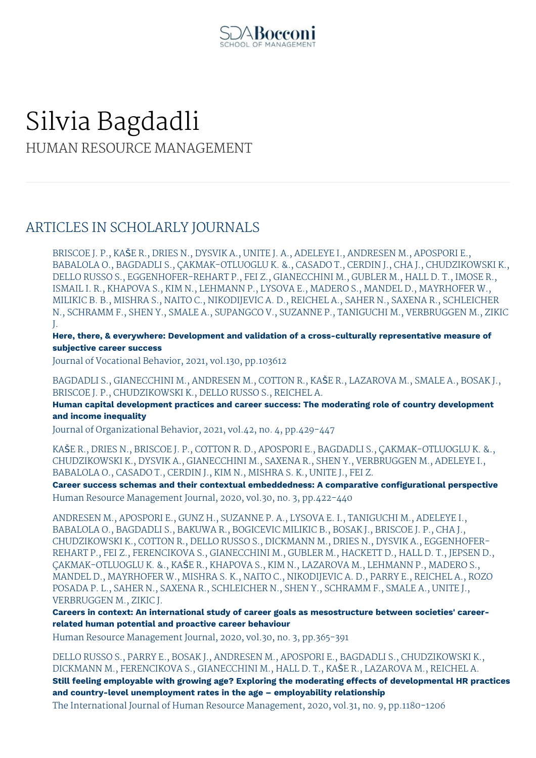

# Silvia Bagdadli HUMAN RESOURCE MANAGEMENT

### ARTICLES IN SCHOLARLY JOURNALS

BRISCOE J. P., KAŠE R., DRIES N., DYSVIK A., UNITE J. A., ADELEYE I., ANDRESEN M., APOSPORI E., BABALOLA O., BAGDADLI S., ÇAKMAK-OTLUOGLU K. &., CASADO T., CERDIN J., CHA J., CHUDZIKOWSKI K., DELLO RUSSO S., EGGENHOFER-REHART P., FEI Z., GIANECCHINI M., GUBLER M., HALL D. T., IMOSE R., ISMAIL I. R., KHAPOVA S., KIM N., LEHMANN P., LYSOVA E., MADERO S., MANDEL D., MAYRHOFER W., MILIKIC B. B., MISHRA S., NAITO C., NIKODIJEVIC A. D., REICHEL A., SAHER N., SAXENA R., SCHLEICHER N., SCHRAMM F., SHEN Y., SMALE A., SUPANGCO V., SUZANNE P., TANIGUCHI M., VERBRUGGEN M., ZIKIC J.

**Here, there, & everywhere: Development and validation of a cross-culturally representative measure of subjective career success**

Journal of Vocational Behavior, 2021, vol.130, pp.103612

BAGDADLI S., GIANECCHINI M., ANDRESEN M., COTTON R., KAŠE R., LAZAROVA M., SMALE A., BOSAK J., BRISCOE J. P., CHUDZIKOWSKI K., DELLO RUSSO S., REICHEL A.

**Human capital development practices and career success: The moderating role of country development and income inequality**

Journal of Organizational Behavior, 2021, vol.42, no. 4, pp.429-447

KAŠE R., DRIES N., BRISCOE J. P., COTTON R. D., APOSPORI E., BAGDADLI S., ÇAKMAK-OTLUOGLU K. &., CHUDZIKOWSKI K., DYSVIK A., GIANECCHINI M., SAXENA R., SHEN Y., VERBRUGGEN M., ADELEYE I., BABALOLA O., CASADO T., CERDIN J., KIM N., MISHRA S. K., UNITE J., FEI Z.

**Career success schemas and their contextual embeddedness: A comparative configurational perspective** Human Resource Management Journal, 2020, vol.30, no. 3, pp.422-440

ANDRESEN M., APOSPORI E., GUNZ H., SUZANNE P. A., LYSOVA E. I., TANIGUCHI M., ADELEYE I., BABALOLA O., BAGDADLI S., BAKUWA R., BOGICEVIC MILIKIC B., BOSAK J., BRISCOE J. P., CHA J., CHUDZIKOWSKI K., COTTON R., DELLO RUSSO S., DICKMANN M., DRIES N., DYSVIK A., EGGENHOFER-REHART P., FEI Z., FERENCIKOVA S., GIANECCHINI M., GUBLER M., HACKETT D., HALL D. T., JEPSEN D., ÇAKMAK-OTLUOGLU K. &., KAŠE R., KHAPOVA S., KIM N., LAZAROVA M., LEHMANN P., MADERO S., MANDEL D., MAYRHOFER W., MISHRA S. K., NAITO C., NIKODIJEVIC A. D., PARRY E., REICHEL A., ROZO POSADA P. L., SAHER N., SAXENA R., SCHLEICHER N., SHEN Y., SCHRAMM F., SMALE A., UNITE J., VERBRUGGEN M., ZIKIC J.

**Careers in context: An international study of career goals as mesostructure between societies' careerrelated human potential and proactive career behaviour**

Human Resource Management Journal, 2020, vol.30, no. 3, pp.365-391

DELLO RUSSO S., PARRY E., BOSAK J., ANDRESEN M., APOSPORI E., BAGDADLI S., CHUDZIKOWSKI K., DICKMANN M., FERENCIKOVA S., GIANECCHINI M., HALL D. T., KAŠE R., LAZAROVA M., REICHEL A. **Still feeling employable with growing age? Exploring the moderating effects of developmental HR practices and country-level unemployment rates in the age – employability relationship** The International Journal of Human Resource Management, 2020, vol.31, no. 9, pp.1180-1206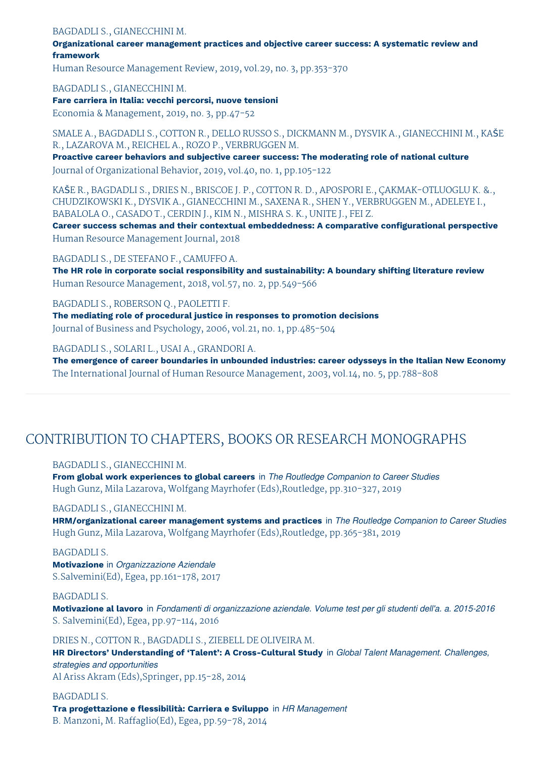#### BAGDADLI S., GIANECCHINI M.

**Organizational career management practices and objective career success: A systematic review and framework**

Human Resource Management Review, 2019, vol.29, no. 3, pp.353-370

BAGDADLI S., GIANECCHINI M.

**Fare carriera in Italia: vecchi percorsi, nuove tensioni**

Economia & Management, 2019, no. 3, pp.47-52

SMALE A., BAGDADLI S., COTTON R., DELLO RUSSO S., DICKMANN M., DYSVIK A., GIANECCHINI M., KAŠE R., LAZAROVA M., REICHEL A., ROZO P., VERBRUGGEN M.

**Proactive career behaviors and subjective career success: The moderating role of national culture** Journal of Organizational Behavior, 2019, vol.40, no. 1, pp.105-122

KAŠE R., BAGDADLI S., DRIES N., BRISCOE J. P., COTTON R. D., APOSPORI E., ÇAKMAK-OTLUOGLU K. &., CHUDZIKOWSKI K., DYSVIK A., GIANECCHINI M., SAXENA R., SHEN Y., VERBRUGGEN M., ADELEYE I., BABALOLA O., CASADO T., CERDIN J., KIM N., MISHRA S. K., UNITE J., FEI Z.

**Career success schemas and their contextual embeddedness: A comparative configurational perspective** Human Resource Management Journal, 2018

BAGDADLI S., DE STEFANO F., CAMUFFO A.

**The HR role in corporate social responsibility and sustainability: A boundary shifting literature review** Human Resource Management, 2018, vol.57, no. 2, pp.549-566

BAGDADLI S., ROBERSON Q., PAOLETTI F. **The mediating role of procedural justice in responses to promotion decisions** Journal of Business and Psychology, 2006, vol.21, no. 1, pp.485-504

BAGDADLI S., SOLARI L., USAI A., GRANDORI A.

**The emergence of career boundaries in unbounded industries: career odysseys in the Italian New Economy** The International Journal of Human Resource Management, 2003, vol.14, no. 5, pp.788-808

### CONTRIBUTION TO CHAPTERS, BOOKS OR RESEARCH MONOGRAPHS

BAGDADLI S., GIANECCHINI M.

**From global work experiences to global careers** in *The Routledge Companion to Career Studies* Hugh Gunz, Mila Lazarova, Wolfgang Mayrhofer (Eds),Routledge, pp.310-327, 2019

#### BAGDADLI S., GIANECCHINI M.

**HRM/organizational career management systems and practices** in *The Routledge Companion to Career Studies* Hugh Gunz, Mila Lazarova, Wolfgang Mayrhofer (Eds),Routledge, pp.365-381, 2019

#### BAGDADLI S.

**Motivazione** in *Organizzazione Aziendale* S.Salvemini(Ed), Egea, pp.161-178, 2017

#### BAGDADLI S.

**Motivazione al lavoro** in *Fondamenti di organizzazione aziendale. Volume test per gli studenti dell'a. a. 2015-2016* S. Salvemini(Ed), Egea, pp.97-114, 2016

DRIES N., COTTON R., BAGDADLI S., ZIEBELL DE OLIVEIRA M.

**HR Directors' Understanding of 'Talent': A Cross-Cultural Study** in *Global Talent Management. Challenges, strategies and opportunities* Al Ariss Akram (Eds),Springer, pp.15-28, 2014

BAGDADLI S. **Tra progettazione e flessibilità: Carriera e Sviluppo** in *HR Management* B. Manzoni, M. Raffaglio(Ed), Egea, pp.59-78, 2014